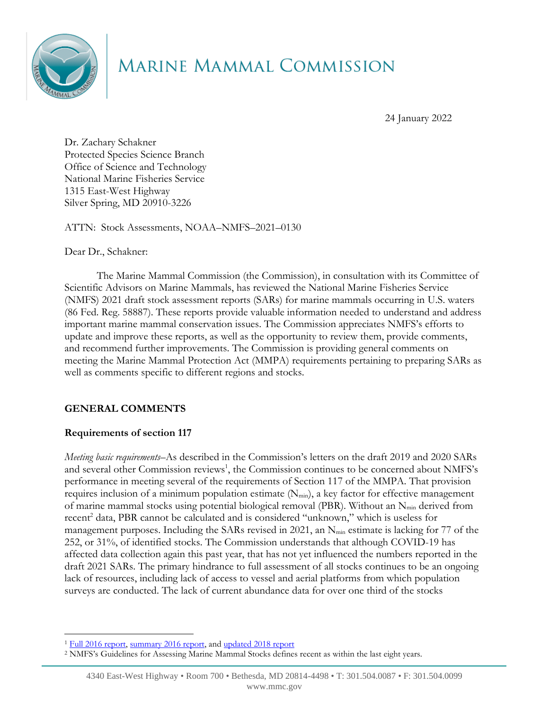

# MARINE MAMMAL COMMISSION

24 January 2022

Dr. Zachary Schakner Protected Species Science Branch Office of Science and Technology National Marine Fisheries Service 1315 East-West Highway Silver Spring, MD 20910-3226

ATTN: Stock Assessments, NOAA–NMFS–2021–0130

Dear Dr., Schakner:

The Marine Mammal Commission (the Commission), in consultation with its Committee of Scientific Advisors on Marine Mammals, has reviewed the National Marine Fisheries Service (NMFS) 2021 draft stock assessment reports (SARs) for marine mammals occurring in U.S. waters (86 Fed. Reg. 58887). These reports provide valuable information needed to understand and address important marine mammal conservation issues. The Commission appreciates NMFS's efforts to update and improve these reports, as well as the opportunity to review them, provide comments, and recommend further improvements. The Commission is providing general comments on meeting the Marine Mammal Protection Act (MMPA) requirements pertaining to preparing SARs as well as comments specific to different regions and stocks.

## **GENERAL COMMENTS**

## **Requirements of section 117**

*Meeting basic requirements*–As described in the Commission's letters on the draft 2019 and 2020 SARs and several other Commission reviews<sup>1</sup>, the Commission continues to be concerned about NMFS's performance in meeting several of the requirements of Section 117 of the MMPA. That provision requires inclusion of a minimum population estimate  $(N_{min})$ , a key factor for effective management of marine mammal stocks using potential biological removal (PBR). Without an  $N_{min}$  derived from recent<sup>2</sup> data, PBR cannot be calculated and is considered "unknown," which is useless for management purposes. Including the SARs revised in 2021, an N<sub>min</sub> estimate is lacking for 77 of the 252, or 31%, of identified stocks. The Commission understands that although COVID-19 has affected data collection again this past year, that has not yet influenced the numbers reported in the draft 2021 SARs. The primary hindrance to full assessment of all stocks continues to be an ongoing lack of resources, including lack of access to vessel and aerial platforms from which population surveys are conducted. The lack of current abundance data for over one third of the stocks

<sup>&</sup>lt;sup>1</sup> [Full 2016 report,](https://www.mmc.gov/wp-content/uploads/SARsReport.pdf) [summary 2016 report,](https://www.mmc.gov/wp-content/uploads/SARs-Review-Summary.pdf) and [updated 2018 report](https://www.mmc.gov/wp-content/uploads/SARs-2018-update.pdf)

<sup>2</sup> NMFS's Guidelines for Assessing Marine Mammal Stocks defines recent as within the last eight years.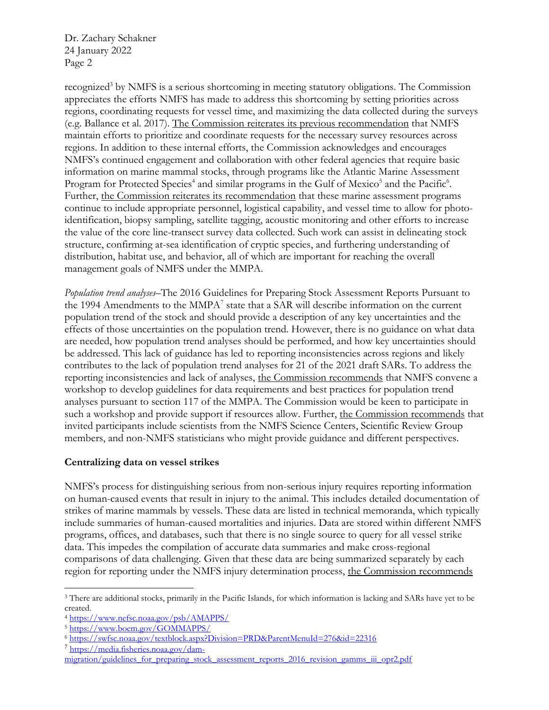Dr. Zachary Schakner 24 January 2022 Page 2

recognized<sup>3</sup> by NMFS is a serious shortcoming in meeting statutory obligations. The Commission appreciates the efforts NMFS has made to address this shortcoming by setting priorities across regions, coordinating requests for vessel time, and maximizing the data collected during the surveys (e.g. Ballance et al. 2017). The Commission reiterates its previous recommendation that NMFS maintain efforts to prioritize and coordinate requests for the necessary survey resources across regions. In addition to these internal efforts, the Commission acknowledges and encourages NMFS's continued engagement and collaboration with other federal agencies that require basic information on marine mammal stocks, through programs like the Atlantic Marine Assessment Program for Protected Species<sup>4</sup> and similar programs in the Gulf of Mexico<sup>5</sup> and the Pacific<sup>6</sup>. Further, the Commission reiterates its recommendation that these marine assessment programs continue to include appropriate personnel, logistical capability, and vessel time to allow for photoidentification, biopsy sampling, satellite tagging, acoustic monitoring and other efforts to increase the value of the core line-transect survey data collected. Such work can assist in delineating stock structure, confirming at-sea identification of cryptic species, and furthering understanding of distribution, habitat use, and behavior, all of which are important for reaching the overall management goals of NMFS under the MMPA.

*Population trend analyses*–The 2016 Guidelines for Preparing Stock Assessment Reports Pursuant to the 1994 Amendments to the  $MMPA<sup>7</sup>$  state that a SAR will describe information on the current population trend of the stock and should provide a description of any key uncertainties and the effects of those uncertainties on the population trend. However, there is no guidance on what data are needed, how population trend analyses should be performed, and how key uncertainties should be addressed. This lack of guidance has led to reporting inconsistencies across regions and likely contributes to the lack of population trend analyses for 21 of the 2021 draft SARs. To address the reporting inconsistencies and lack of analyses, the Commission recommends that NMFS convene a workshop to develop guidelines for data requirements and best practices for population trend analyses pursuant to section 117 of the MMPA. The Commission would be keen to participate in such a workshop and provide support if resources allow. Further, the Commission recommends that invited participants include scientists from the NMFS Science Centers, Scientific Review Group members, and non-NMFS statisticians who might provide guidance and different perspectives.

#### **Centralizing data on vessel strikes**

NMFS's process for distinguishing serious from non-serious injury requires reporting information on human-caused events that result in injury to the animal. This includes detailed documentation of strikes of marine mammals by vessels. These data are listed in technical memoranda, which typically include summaries of human-caused mortalities and injuries. Data are stored within different NMFS programs, offices, and databases, such that there is no single source to query for all vessel strike data. This impedes the compilation of accurate data summaries and make cross-regional comparisons of data challenging. Given that these data are being summarized separately by each region for reporting under the NMFS injury determination process, the Commission recommends

<sup>3</sup> There are additional stocks, primarily in the Pacific Islands, for which information is lacking and SARs have yet to be created.

<sup>4</sup> <https://www.nefsc.noaa.gov/psb/AMAPPS/>

<sup>5</sup> <https://www.boem.gov/GOMMAPPS/>

<sup>6</sup> <https://swfsc.noaa.gov/textblock.aspx?Division=PRD&ParentMenuId=276&id=22316>

<sup>7</sup> [https://media.fisheries.noaa.gov/dam-](https://media.fisheries.noaa.gov/dam-migration/guidelines_for_preparing_stock_assessment_reports_2016_revision_gamms_iii_opr2.pdf)

[migration/guidelines\\_for\\_preparing\\_stock\\_assessment\\_reports\\_2016\\_revision\\_gamms\\_iii\\_opr2.pdf](https://media.fisheries.noaa.gov/dam-migration/guidelines_for_preparing_stock_assessment_reports_2016_revision_gamms_iii_opr2.pdf)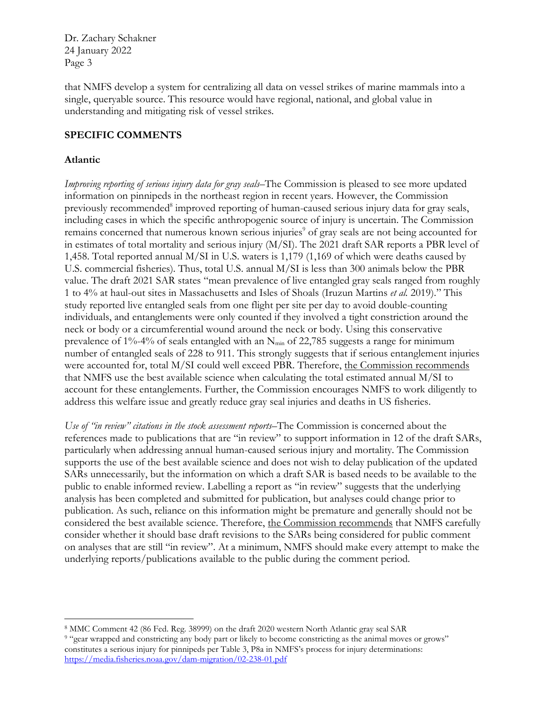Dr. Zachary Schakner 24 January 2022 Page 3

that NMFS develop a system for centralizing all data on vessel strikes of marine mammals into a single, queryable source. This resource would have regional, national, and global value in understanding and mitigating risk of vessel strikes.

### **SPECIFIC COMMENTS**

#### **Atlantic**

*Improving reporting of serious injury data for gray seals*–The Commission is pleased to see more updated information on pinnipeds in the northeast region in recent years. However, the Commission previously recommended<sup>8</sup> improved reporting of human-caused serious injury data for gray seals, including cases in which the specific anthropogenic source of injury is uncertain. The Commission remains concerned that numerous known serious injuries<sup>9</sup> of gray seals are not being accounted for in estimates of total mortality and serious injury (M/SI). The 2021 draft SAR reports a PBR level of 1,458. Total reported annual M/SI in U.S. waters is 1,179 (1,169 of which were deaths caused by U.S. commercial fisheries). Thus, total U.S. annual M/SI is less than 300 animals below the PBR value. The draft 2021 SAR states "mean prevalence of live entangled gray seals ranged from roughly 1 to 4% at haul-out sites in Massachusetts and Isles of Shoals (Iruzun Martins *et al.* 2019)." This study reported live entangled seals from one flight per site per day to avoid double-counting individuals, and entanglements were only counted if they involved a tight constriction around the neck or body or a circumferential wound around the neck or body. Using this conservative prevalence of 1%-4% of seals entangled with an N<sub>min</sub> of 22,785 suggests a range for minimum number of entangled seals of 228 to 911. This strongly suggests that if serious entanglement injuries were accounted for, total M/SI could well exceed PBR. Therefore, the Commission recommends that NMFS use the best available science when calculating the total estimated annual M/SI to account for these entanglements. Further, the Commission encourages NMFS to work diligently to address this welfare issue and greatly reduce gray seal injuries and deaths in US fisheries.

*Use of "in review" citations in the stock assessment reports*–The Commission is concerned about the references made to publications that are "in review" to support information in 12 of the draft SARs, particularly when addressing annual human-caused serious injury and mortality. The Commission supports the use of the best available science and does not wish to delay publication of the updated SARs unnecessarily, but the information on which a draft SAR is based needs to be available to the public to enable informed review. Labelling a report as "in review" suggests that the underlying analysis has been completed and submitted for publication, but analyses could change prior to publication. As such, reliance on this information might be premature and generally should not be considered the best available science. Therefore, the Commission recommends that NMFS carefully consider whether it should base draft revisions to the SARs being considered for public comment on analyses that are still "in review". At a minimum, NMFS should make every attempt to make the underlying reports/publications available to the public during the comment period.

<sup>8</sup> MMC Comment 42 (86 Fed. Reg. 38999) on the draft 2020 western North Atlantic gray seal SAR

<sup>9</sup> "gear wrapped and constricting any body part or likely to become constricting as the animal moves or grows" constitutes a serious injury for pinnipeds per Table 3, P8a in NMFS's process for injury determinations: <https://media.fisheries.noaa.gov/dam-migration/02-238-01.pdf>